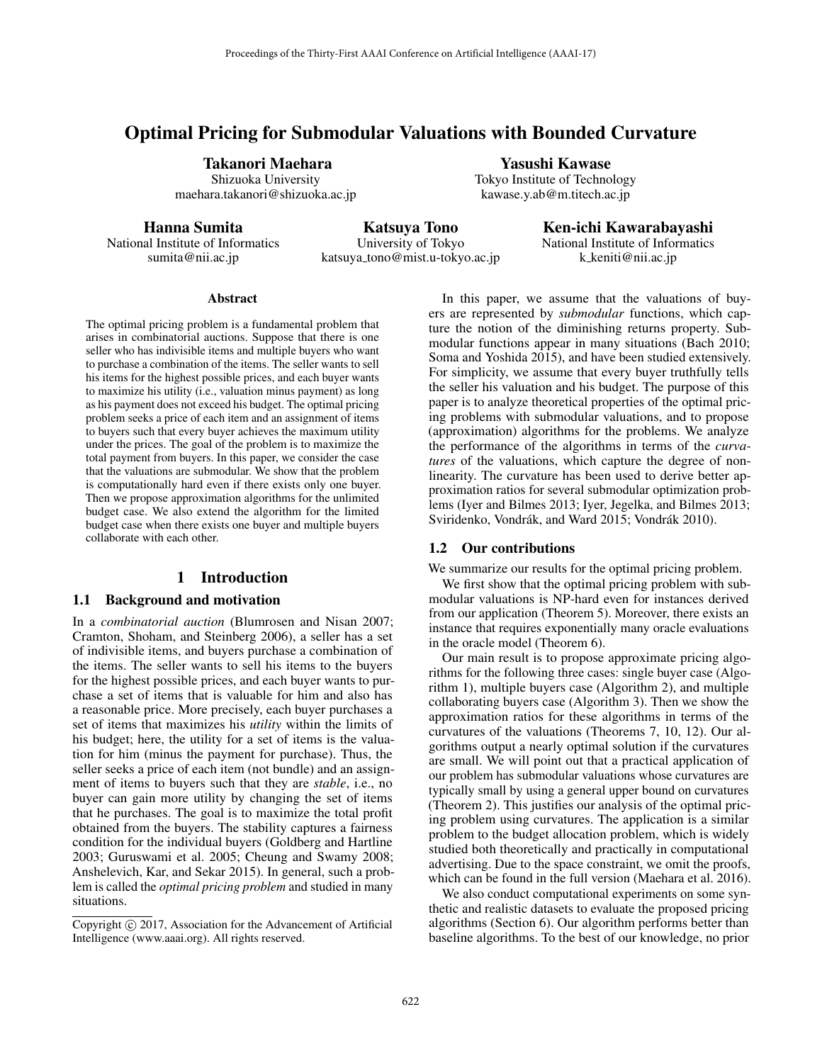# Optimal Pricing for Submodular Valuations with Bounded Curvature

Takanori Maehara Shizuoka University

maehara.takanori@shizuoka.ac.jp

Hanna Sumita

Katsuya Tono

National Institute of Informatics sumita@nii.ac.jp

University of Tokyo katsuya tono@mist.u-tokyo.ac.jp Ken-ichi Kawarabayashi National Institute of Informatics k keniti@nii.ac.jp

#### **Abstract**

The optimal pricing problem is a fundamental problem that arises in combinatorial auctions. Suppose that there is one seller who has indivisible items and multiple buyers who want to purchase a combination of the items. The seller wants to sell his items for the highest possible prices, and each buyer wants to maximize his utility (i.e., valuation minus payment) as long as his payment does not exceed his budget. The optimal pricing problem seeks a price of each item and an assignment of items to buyers such that every buyer achieves the maximum utility under the prices. The goal of the problem is to maximize the total payment from buyers. In this paper, we consider the case that the valuations are submodular. We show that the problem is computationally hard even if there exists only one buyer. Then we propose approximation algorithms for the unlimited budget case. We also extend the algorithm for the limited budget case when there exists one buyer and multiple buyers collaborate with each other.

## 1 Introduction

## 1.1 Background and motivation

In a *combinatorial auction* (Blumrosen and Nisan 2007; Cramton, Shoham, and Steinberg 2006), a seller has a set of indivisible items, and buyers purchase a combination of the items. The seller wants to sell his items to the buyers for the highest possible prices, and each buyer wants to purchase a set of items that is valuable for him and also has a reasonable price. More precisely, each buyer purchases a set of items that maximizes his *utility* within the limits of his budget; here, the utility for a set of items is the valuation for him (minus the payment for purchase). Thus, the seller seeks a price of each item (not bundle) and an assignment of items to buyers such that they are *stable*, i.e., no buyer can gain more utility by changing the set of items that he purchases. The goal is to maximize the total profit obtained from the buyers. The stability captures a fairness condition for the individual buyers (Goldberg and Hartline 2003; Guruswami et al. 2005; Cheung and Swamy 2008; Anshelevich, Kar, and Sekar 2015). In general, such a problem is called the *optimal pricing problem* and studied in many situations.

Copyright  $\odot$  2017, Association for the Advancement of Artificial Intelligence (www.aaai.org). All rights reserved.

In this paper, we assume that the valuations of buyers are represented by *submodular* functions, which capture the notion of the diminishing returns property. Submodular functions appear in many situations (Bach 2010; Soma and Yoshida 2015), and have been studied extensively. For simplicity, we assume that every buyer truthfully tells the seller his valuation and his budget. The purpose of this paper is to analyze theoretical properties of the optimal pricing problems with submodular valuations, and to propose (approximation) algorithms for the problems. We analyze the performance of the algorithms in terms of the *curvatures* of the valuations, which capture the degree of nonlinearity. The curvature has been used to derive better approximation ratios for several submodular optimization problems (Iyer and Bilmes 2013; Iyer, Jegelka, and Bilmes 2013; Sviridenko, Vondrák, and Ward 2015; Vondrák 2010).

Yasushi Kawase Tokyo Institute of Technology kawase.y.ab@m.titech.ac.jp

#### 1.2 Our contributions

We summarize our results for the optimal pricing problem.

We first show that the optimal pricing problem with submodular valuations is NP-hard even for instances derived from our application (Theorem 5). Moreover, there exists an instance that requires exponentially many oracle evaluations in the oracle model (Theorem 6).

Our main result is to propose approximate pricing algorithms for the following three cases: single buyer case (Algorithm 1), multiple buyers case (Algorithm 2), and multiple collaborating buyers case (Algorithm 3). Then we show the approximation ratios for these algorithms in terms of the curvatures of the valuations (Theorems 7, 10, 12). Our algorithms output a nearly optimal solution if the curvatures are small. We will point out that a practical application of our problem has submodular valuations whose curvatures are typically small by using a general upper bound on curvatures (Theorem 2). This justifies our analysis of the optimal pricing problem using curvatures. The application is a similar problem to the budget allocation problem, which is widely studied both theoretically and practically in computational advertising. Due to the space constraint, we omit the proofs, which can be found in the full version (Maehara et al. 2016).

We also conduct computational experiments on some synthetic and realistic datasets to evaluate the proposed pricing algorithms (Section 6). Our algorithm performs better than baseline algorithms. To the best of our knowledge, no prior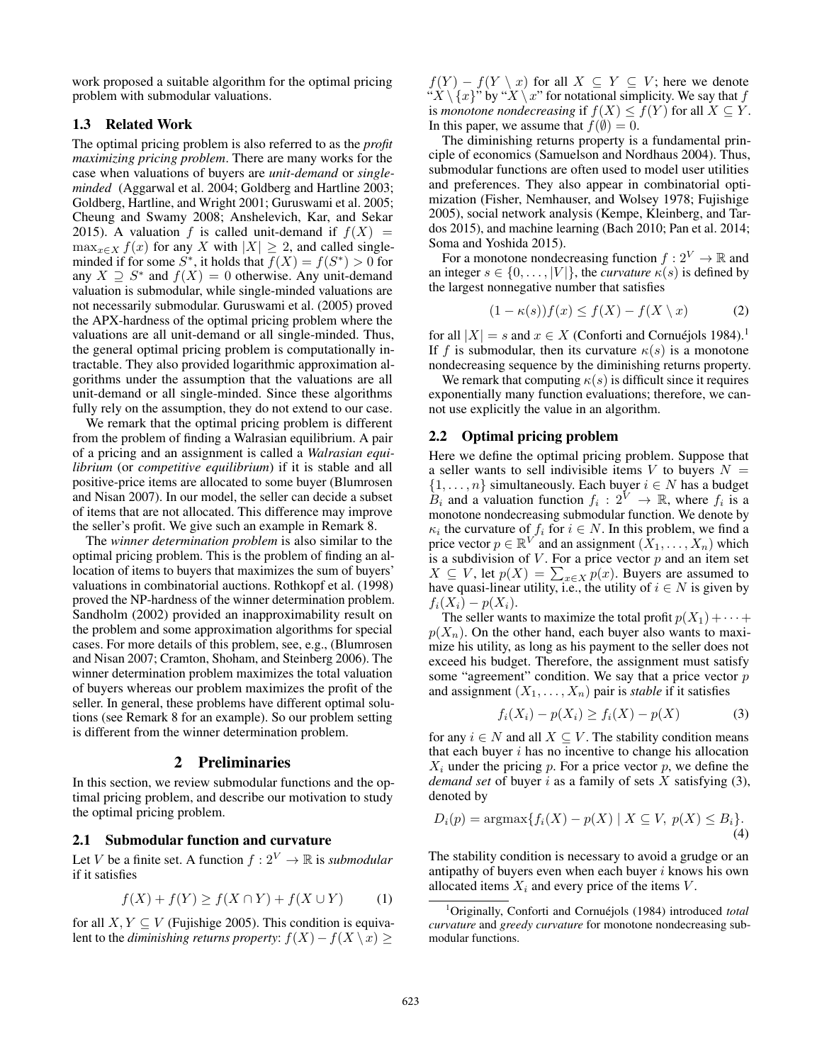work proposed a suitable algorithm for the optimal pricing problem with submodular valuations.

# 1.3 Related Work

The optimal pricing problem is also referred to as the *profit maximizing pricing problem*. There are many works for the case when valuations of buyers are *unit-demand* or *singleminded* (Aggarwal et al. 2004; Goldberg and Hartline 2003; Goldberg, Hartline, and Wright 2001; Guruswami et al. 2005; Cheung and Swamy 2008; Anshelevich, Kar, and Sekar 2015). A valuation f is called unit-demand if  $f(X) = \max_{x \in X} f(x)$  for any X with  $|X| \ge 2$ , and called single- $\max_{x \in X} f(x)$  for any X with  $|X| \ge 2$ , and called single-<br>minded if for some  $S^*$  it holds that  $f(X) = f(S^*) > 0$  for minded if for some  $S^*$ , it holds that  $\overline{f}(X) = f(S^*) > 0$  for any  $X \supset S^*$  and  $f(X) = 0$  otherwise. Any unit-demand any  $X \supseteq S^*$  and  $f(X)=0$  otherwise. Any unit-demand valuation is submodular, while single-minded valuations are not necessarily submodular. Guruswami et al. (2005) proved the APX-hardness of the optimal pricing problem where the valuations are all unit-demand or all single-minded. Thus, the general optimal pricing problem is computationally intractable. They also provided logarithmic approximation algorithms under the assumption that the valuations are all unit-demand or all single-minded. Since these algorithms fully rely on the assumption, they do not extend to our case.

We remark that the optimal pricing problem is different from the problem of finding a Walrasian equilibrium. A pair of a pricing and an assignment is called a *Walrasian equilibrium* (or *competitive equilibrium*) if it is stable and all positive-price items are allocated to some buyer (Blumrosen and Nisan 2007). In our model, the seller can decide a subset of items that are not allocated. This difference may improve the seller's profit. We give such an example in Remark 8.

The *winner determination problem* is also similar to the optimal pricing problem. This is the problem of finding an allocation of items to buyers that maximizes the sum of buyers' valuations in combinatorial auctions. Rothkopf et al. (1998) proved the NP-hardness of the winner determination problem. Sandholm (2002) provided an inapproximability result on the problem and some approximation algorithms for special cases. For more details of this problem, see, e.g., (Blumrosen and Nisan 2007; Cramton, Shoham, and Steinberg 2006). The winner determination problem maximizes the total valuation of buyers whereas our problem maximizes the profit of the seller. In general, these problems have different optimal solutions (see Remark 8 for an example). So our problem setting is different from the winner determination problem.

## 2 Preliminaries

In this section, we review submodular functions and the optimal pricing problem, and describe our motivation to study the optimal pricing problem.

# 2.1 Submodular function and curvature

Let V be a finite set. A function  $f: 2^V \to \mathbb{R}$  is *submodular* if it satisfies

$$
f(X) + f(Y) \ge f(X \cap Y) + f(X \cup Y) \tag{1}
$$

for all  $X, Y \subseteq V$  (Fujishige 2005). This condition is equivalent to the *diminishing returns property*:  $f(X) - f(X \setminus x) \ge$ 

 $f(Y) - f(Y \setminus x)$  for all  $X \subseteq Y \subseteq V$ ; here we denote " $X \setminus \{x\}$ " by " $X \setminus x$ " for notational simplicity. We say that f is *monotone nondecreasing* if  $f(X) \le f(Y)$  for all  $X \subseteq Y$ . In this paper, we assume that  $f(\emptyset)=0$ .

The diminishing returns property is a fundamental principle of economics (Samuelson and Nordhaus 2004). Thus, submodular functions are often used to model user utilities and preferences. They also appear in combinatorial optimization (Fisher, Nemhauser, and Wolsey 1978; Fujishige 2005), social network analysis (Kempe, Kleinberg, and Tardos 2015), and machine learning (Bach 2010; Pan et al. 2014; Soma and Yoshida 2015).

For a monotone nondecreasing function  $f: 2^V \to \mathbb{R}$  and an integer  $s \in \{0, \ldots, |V|\}$ , the *curvature*  $\kappa(s)$  is defined by the largest nonnegative number that satisfies

$$
(1 - \kappa(s))f(x) \le f(X) - f(X \setminus x) \tag{2}
$$

for all  $|X| = s$  and  $x \in X$  (Conforti and Cornuéjols 1984).<sup>1</sup> If f is submodular, then its curvature  $\kappa(s)$  is a monotone nondecreasing sequence by the diminishing returns property.

We remark that computing  $\kappa(s)$  is difficult since it requires exponentially many function evaluations; therefore, we cannot use explicitly the value in an algorithm.

## 2.2 Optimal pricing problem

Here we define the optimal pricing problem. Suppose that a seller wants to sell indivisible items V to buyers  $N =$  $\{1,\ldots,n\}$  simultaneously. Each buyer  $i \in N$  has a budget  $B_i$  and a valuation function  $f_i : 2^V \to \mathbb{R}$ , where  $f_i$  is a monotone nondecreasing submodular function. We denote by  $\kappa_i$  the curvature of  $f_i$  for  $i \in N$ . In this problem, we find a price vector  $p \in \mathbb{R}^{V'}$  and an assignment  $(X_1, \ldots, X_n)$  which is a subdivision of V. For a price vector *n* and an item set is a subdivision of  $V$ . For a price vector  $p$  and an item set  $X \subseteq V$ , let  $p(X) = \sum_{x \in X} p(x)$ . Buyers are assumed to have quasi-linear utility i.e. the utility of  $i \in N$  is given by have quasi-linear utility, i.e., the utility of  $i \in N$  is given by  $f_i(X_i) - p(X_i)$ .

The seller wants to maximize the total profit  $p(X_1) + \cdots + p(X_n)$  $p(X_n)$ . On the other hand, each buyer also wants to maximize his utility, as long as his payment to the seller does not exceed his budget. Therefore, the assignment must satisfy some "agreement" condition. We say that a price vector  $p$ and assignment  $(X_1, \ldots, X_n)$  pair is *stable* if it satisfies

$$
f_i(X_i) - p(X_i) \ge f_i(X) - p(X)
$$
 (3)

for any  $i \in N$  and all  $X \subseteq V$ . The stability condition means that each buyer  $i$  has no incentive to change his allocation  $X_i$  under the pricing p. For a price vector p, we define the *demand set* of buyer i as a family of sets X satisfying (3), denoted by

$$
D_i(p) = \operatorname{argmax} \{ f_i(X) - p(X) \mid X \subseteq V, \ p(X) \le B_i \}.
$$
\n(4)

The stability condition is necessary to avoid a grudge or an antipathy of buyers even when each buyer  $i$  knows his own allocated items  $X_i$  and every price of the items  $V$ .

<sup>1</sup>Originally, Conforti and Cornuéjols (1984) introduced total *curvature* and *greedy curvature* for monotone nondecreasing submodular functions.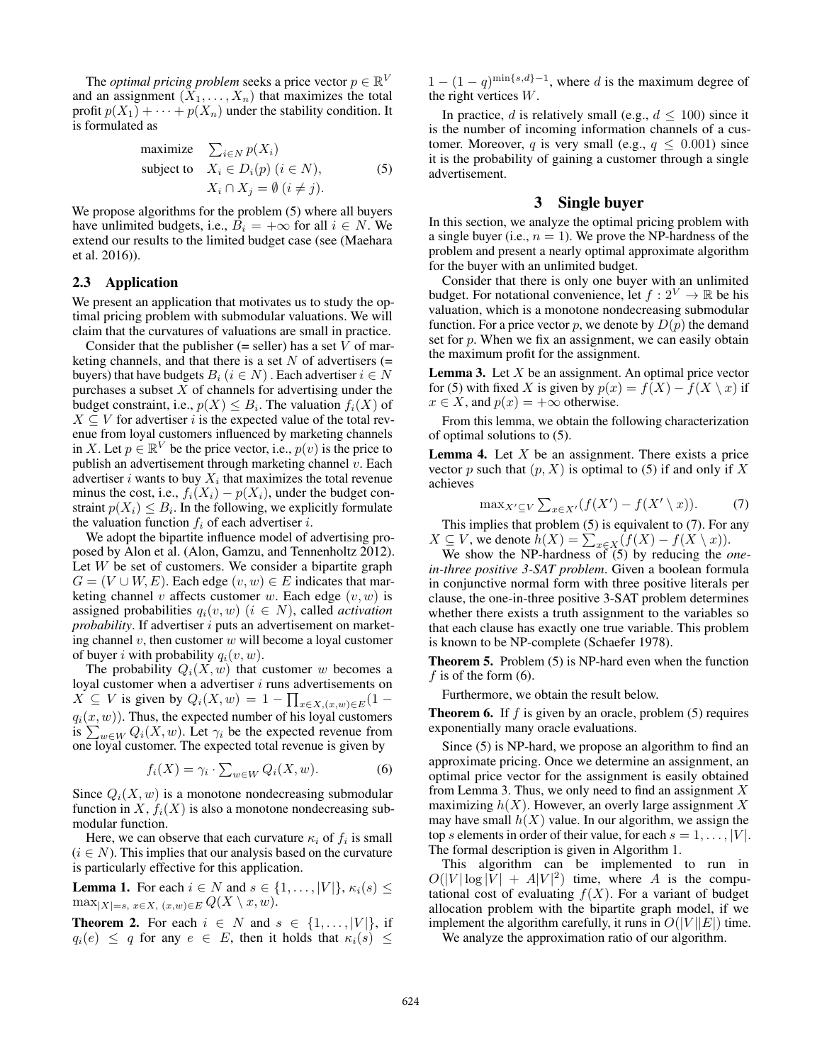The *optimal pricing problem* seeks a price vector  $p \in \mathbb{R}^V$ and an assignment  $(X_1, \ldots, X_n)$  that maximizes the total profit  $p(X_1) + \cdots + p(X_n)$  under the stability condition. It is formulated as

maximize 
$$
\sum_{i \in N} p(X_i)
$$
  
\nsubject to  $X_i \in D_i(p) \ (i \in N),$   
\n $X_i \cap X_j = \emptyset \ (i \neq j).$  (5)

We propose algorithms for the problem (5) where all buyers have unlimited budgets, i.e.,  $B_i = +\infty$  for all  $i \in N$ . We extend our results to the limited budget case (see (Maehara et al. 2016)).

#### 2.3 Application

We present an application that motivates us to study the optimal pricing problem with submodular valuations. We will claim that the curvatures of valuations are small in practice.

Consider that the publisher (= seller) has a set  $V$  of marketing channels, and that there is a set  $N$  of advertisers (= buyers) that have budgets  $B_i$  ( $i \in N$ ). Each advertiser  $i \in N$ purchases a subset  $X$  of channels for advertising under the budget constraint, i.e.,  $p(X) \leq B_i$ . The valuation  $f_i(X)$  of  $X \subseteq V$  for advertiser i is the expected value of the total revenue from loyal customers influenced by marketing channels in X. Let  $p \in \mathbb{R}^V$  be the price vector, i.e.,  $p(v)$  is the price to publish an advertisement through marketing channel  $v$ . Each advertiser i wants to buy  $X_i$  that maximizes the total revenue minus the cost, i.e.,  $f_i(X_i) - p(X_i)$ , under the budget constraint  $p(X_i) \leq B_i$ . In the following, we explicitly formulate the valuation function  $f_i$  of each advertiser *i*.

We adopt the bipartite influence model of advertising proposed by Alon et al. (Alon, Gamzu, and Tennenholtz 2012). Let  $W$  be set of customers. We consider a bipartite graph  $G = (V \cup W, E)$ . Each edge  $(v, w) \in E$  indicates that marketing channel v affects customer w. Each edge  $(v, w)$  is assigned probabilities  $q_i(v, w)$  ( $i \in N$ ), called *activation probability*. If advertiser *i* puts an advertisement on marketing channel  $v$ , then customer  $w$  will become a loyal customer of buyer i with probability  $q_i(v, w)$ .

The probability  $Q_i(X, w)$  that customer w becomes a loyal customer when a advertiser  $i$  runs advertisements on  $X \subseteq V$  is given by  $Q_i(X, w) = 1 - \prod_{x \in X, (x, w) \in E} (1$  $q_i(x, w)$ ). Thus, the expected number of his loyal customers is  $\sum_{w \in W} Q_i(X, w)$ . Let  $\gamma_i$  be the expected revenue from one loval customer. The expected total revenue is given by one loyal customer. The expected total revenue is given by

$$
f_i(X) = \gamma_i \cdot \sum_{w \in W} Q_i(X, w).
$$
 (6)

Since  $Q_i(X, w)$  is a monotone nondecreasing submodular function in X,  $f_i(X)$  is also a monotone nondecreasing submodular function.

Here, we can observe that each curvature  $\kappa_i$  of  $f_i$  is small  $(i \in N)$ . This implies that our analysis based on the curvature is particularly effective for this application.

**Lemma 1.** For each  $i \in N$  and  $s \in \{1, \ldots, |V|\}, \kappa_i(s) \leq$  $\max_{|X|=s, x \in X, (x,w) \in E} Q(X \setminus x, w).$ 

**Theorem 2.** For each  $i \in N$  and  $s \in \{1, \ldots, |V|\}$ , if  $q_i(e) \leq q$  for any  $e \in E$ , then it holds that  $\kappa_i(s) \leq$ 

 $1 - (1 - q)^{\min\{s,d\}-1}$ , where d is the maximum degree of the right vertices W.

In practice, d is relatively small (e.g.,  $d \le 100$ ) since it is the number of incoming information channels of a customer. Moreover, q is very small (e.g.,  $q \leq 0.001$ ) since it is the probability of gaining a customer through a single advertisement.

## 3 Single buyer

In this section, we analyze the optimal pricing problem with a single buyer (i.e.,  $n = 1$ ). We prove the NP-hardness of the problem and present a nearly optimal approximate algorithm for the buyer with an unlimited budget.

Consider that there is only one buyer with an unlimited budget. For notational convenience, let  $f: 2^V \to \mathbb{R}$  be his valuation, which is a monotone nondecreasing submodular function. For a price vector p, we denote by  $D(p)$  the demand set for  $p$ . When we fix an assignment, we can easily obtain the maximum profit for the assignment.

**Lemma 3.** Let  $X$  be an assignment. An optimal price vector for (5) with fixed X is given by  $p(x) = f(X) - f(X \setminus x)$  if  $x \in X$ , and  $p(x) = +\infty$  otherwise.

From this lemma, we obtain the following characterization of optimal solutions to (5).

**Lemma 4.** Let  $X$  be an assignment. There exists a price vector p such that  $(p, X)$  is optimal to (5) if and only if X achieves

$$
\max_{X' \subseteq V} \sum_{x \in X'} (f(X') - f(X' \setminus x)).
$$
 (7)  
This implies that problem (5) is equivalent to (7). For any

 $X \subseteq V$ , we denote  $h(X) = \sum_{x \in X}^{s} (f(X) - f(X \setminus x))$ .<br>We show the NP-hardness of (5) by reducing the c

We show the NP-hardness of (5) by reducing the *onein-three positive 3-SAT problem*. Given a boolean formula in conjunctive normal form with three positive literals per clause, the one-in-three positive 3-SAT problem determines whether there exists a truth assignment to the variables so that each clause has exactly one true variable. This problem is known to be NP-complete (Schaefer 1978).

Theorem 5. Problem (5) is NP-hard even when the function f is of the form  $(6)$ .

Furthermore, we obtain the result below.

**Theorem 6.** If f is given by an oracle, problem  $(5)$  requires exponentially many oracle evaluations.

Since (5) is NP-hard, we propose an algorithm to find an approximate pricing. Once we determine an assignment, an optimal price vector for the assignment is easily obtained from Lemma 3. Thus, we only need to find an assignment  $X$ maximizing  $h(X)$ . However, an overly large assignment X may have small  $h(X)$  value. In our algorithm, we assign the top s elements in order of their value, for each  $s = 1, \ldots, |V|$ . The formal description is given in Algorithm 1.

This algorithm can be implemented to run in  $O(|V|\log|V| + A|V|^2)$  time, where A is the compu-<br>tational cost of evaluating  $f(X)$ . For a variant of budget tational cost of evaluating  $f(X)$ . For a variant of budget allocation problem with the bipartite graph model, if we implement the algorithm carefully, it runs in  $O(|V||E|)$  time.

We analyze the approximation ratio of our algorithm.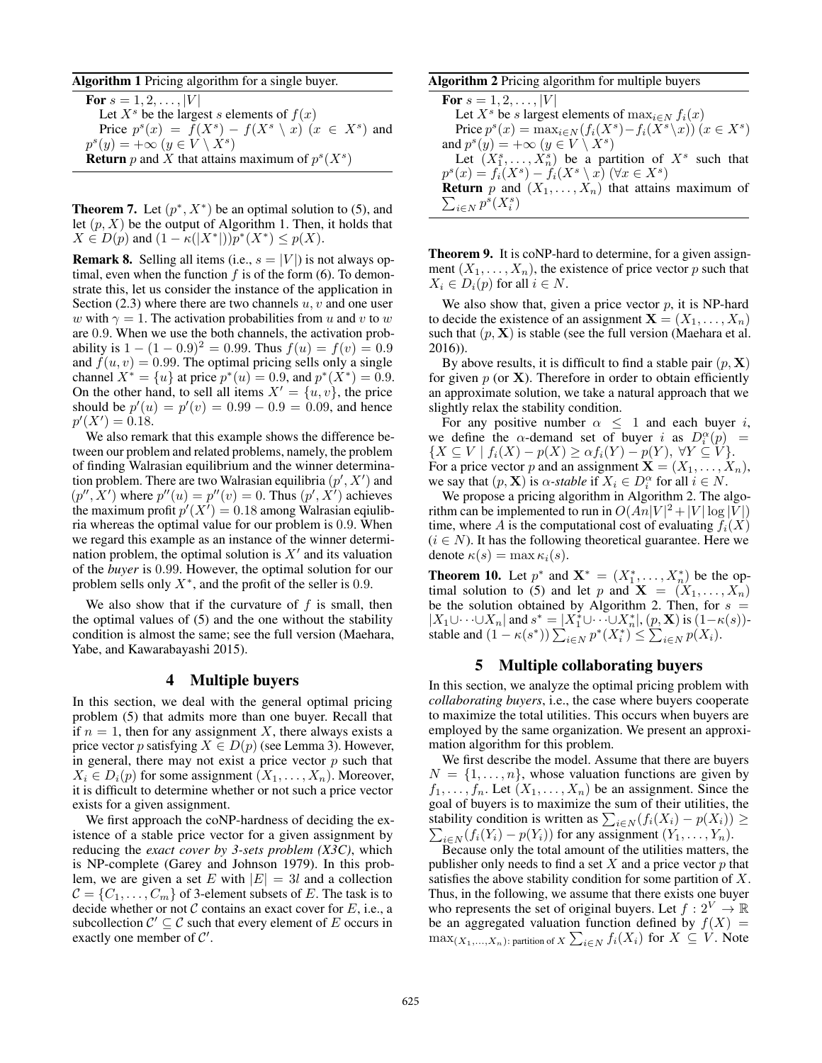#### Algorithm 1 Pricing algorithm for a single buyer.

For  $s = 1, 2, ..., |V|$ Let  $X<sup>s</sup>$  be the largest s elements of  $f(x)$ Price  $p^{s}(x) = f(X^{s}) - f(X^{s} \setminus x)$   $(x \in X^{s})$  and  $p^{s}(y) = +\infty$   $(y \in V \setminus X^{s})$ **Return** p and X that attains maximum of  $p^{s}(X^{s})$ 

**Theorem 7.** Let  $(p^*, X^*)$  be an optimal solution to (5), and let  $(p, X)$  be the output of Algorithm 1. Then, it holds that  $X \in D(p)$  and  $(1 - \kappa(|X^*|))p^*(X^*) \leq p(X)$ .

**Remark 8.** Selling all items (i.e.,  $s = |V|$ ) is not always optimal, even when the function  $f$  is of the form (6). To demonstrate this, let us consider the instance of the application in Section  $(2.3)$  where there are two channels  $u, v$  and one user w with  $\gamma = 1$ . The activation probabilities from u and v to w are 0.9. When we use the both channels, the activation probability is  $1 - (1 - 0.9)^2 = 0.99$ . Thus  $f(u) = f(v) = 0.9$ and  $f(u, v) = 0.99$ . The optimal pricing sells only a single channel  $X^* = \{u\}$  at price  $p^*(u) = 0.9$ , and  $p^*(X^*) = 0.9$ . On the other hand, to sell all items  $X' = \{u, v\}$ , the price should be  $p'(u) = p'(v) = 0.99 - 0.9 = 0.09$ , and hence  $p'(X') = 0.18$  $p'(X') = 0.18.$ <br>We also rema

We also remark that this example shows the difference between our problem and related problems, namely, the problem of finding Walrasian equilibrium and the winner determination problem. There are two Walrasian equilibria  $(p', X')$  and  $(p'', X')$  where  $p''(u) = p''(v) = 0$ . Thus  $(p', X')$  achieves  $(p'', \dot{X}')$  where  $p''(u) = p''(v) = 0$ . Thus  $(p', \dot{X}')$  achieves<br>the maximum profit  $p'(X') = 0$  18 among Waltasian equilibthe maximum profit  $p'(X') = 0.18$  among Walrasian eqiulib-<br>ria whereas the optimal value for our problem is 0.9. When ria whereas the optimal value for our problem is 0.9. When we regard this example as an instance of the winner determination problem, the optimal solution is  $X'$  and its valuation of the *buyer* is 0.99. However, the optimal solution for our problem sells only  $X^*$ , and the profit of the seller is 0.9.

We also show that if the curvature of  $f$  is small, then the optimal values of (5) and the one without the stability condition is almost the same; see the full version (Maehara, Yabe, and Kawarabayashi 2015).

## 4 Multiple buyers

In this section, we deal with the general optimal pricing problem (5) that admits more than one buyer. Recall that if  $n = 1$ , then for any assignment X, there always exists a price vector p satisfying  $X \in D(p)$  (see Lemma 3). However, in general, there may not exist a price vector  $p$  such that  $X_i \in D_i(p)$  for some assignment  $(X_1, \ldots, X_n)$ . Moreover, it is difficult to determine whether or not such a price vector exists for a given assignment.

We first approach the coNP-hardness of deciding the existence of a stable price vector for a given assignment by reducing the *exact cover by 3-sets problem (X3C)*, which is NP-complete (Garey and Johnson 1979). In this problem, we are given a set E with  $|E| = 3l$  and a collection  $C = \{C_1, \ldots, C_m\}$  of 3-element subsets of E. The task is to decide whether or not  $C$  contains an exact cover for  $E$ , i.e., a subcollection  $C' \subseteq C$  such that every element of E occurs in exactly one member of  $C'$ .

## Algorithm 2 Pricing algorithm for multiple buyers

**For**  $s = 1, 2, ..., |V|$ Let  $X^s$  be s largest elements of  $\max_{i \in N} f_i(x)$ Price  $p^{s}(x) = \max_{i \in N} (f_i(X^s) - f_i(X^s \setminus x))$   $(x \in X^s)$ and  $p^{s}(y) = +\infty$   $(y \in V \setminus X^{s})$ Let  $(X_3^s, \ldots, X_n^s)$  be a partition of  $X^s$  such that  $(x) = f_s(X^s) - f_s(X^s \setminus x)$   $(\forall x \in X^s)$  $p^{s}(x) = f_i(X^s) - f_i(X^s \setminus x)$  (∀ $x \in X^s$ )  $\sum_{i\in N} p^s(X_i^s)$ **Return** p and  $(X_1, \ldots, X_n)$  that attains maximum of

Theorem 9. It is coNP-hard to determine, for a given assignment  $(X_1, \ldots, X_n)$ , the existence of price vector p such that  $X_i \in D_i(p)$  for all  $i \in N$ .

We also show that, given a price vector  $p$ , it is NP-hard to decide the existence of an assignment  $X = (X_1, \ldots, X_n)$ such that  $(p, X)$  is stable (see the full version (Maehara et al. 2016)).

By above results, it is difficult to find a stable pair  $(p, X)$ for given  $p$  (or  $X$ ). Therefore in order to obtain efficiently an approximate solution, we take a natural approach that we slightly relax the stability condition.

For any positive number  $\alpha \leq 1$  and each buyer i, we define the  $\alpha$ -demand set of buyer i as  $D_t^{\alpha}(p)$  =  $\{X \subset V | f_t(X) = n(X) > \alpha f_t(Y) = n(Y) \quad \forall Y \subset V\}$  $\{X \subseteq V \mid f_i(X) - p(X) \geq \alpha f_i(Y) - p(Y), \ \forall Y \subseteq V\}.$ For a price vector p and an assignment  $\mathbf{X} = (X_1, \ldots, X_n)$ , we say that  $(p, \mathbf{X})$  is  $\alpha$ -stable if  $X_i \in D_i^{\alpha}$  for all  $i \in N$ .<br>We propose a pricing algorithm in Algorithm 2. The a

We propose a pricing algorithm in Algorithm 2. The algorithm can be implemented to run in  $O(An|V|^2 + |V| \log |V|)$ <br>time, where A is the computational cost of evaluating  $f(X)$ time, where A is the computational cost of evaluating  $f_i(X)$  $(i \in N)$ . It has the following theoretical guarantee. Here we denote  $\kappa(s) = \max \kappa_i(s)$ .

**Theorem 10.** Let  $p^*$  and  $\mathbf{X}^* = (X_1^*, \dots, X_n^*)$  be the optimal solution to (5) and let *n* and  $\mathbf{X} = (X_1, \dots, X_n)$ timal solution to (5) and let p and  $X = (X_1, \ldots, X_n)$ be the solution obtained by Algorithm 2. Then, for  $s =$  $|X_1 \cup \cdots \cup X_n|$  and  $s^* = |X_1^* \cup \cdots \cup X_n^*|$ ,  $(p, \mathbf{X})$  is  $(1 - \kappa(s))$ -<br>stable and  $(1 - \kappa(s^*))$   $\sum_{x \in \mathcal{X}} p^*(X^*)$   $\leq \sum_{x \in \mathcal{X}} p(X)$ stable and  $(1 - \kappa(s^*)) \sum_{i \in N}^{\infty} p^*(X_i^*) \leq \sum_{i \in N}^{\infty} p(X_i)$ .

# 5 Multiple collaborating buyers

In this section, we analyze the optimal pricing problem with *collaborating buyers*, i.e., the case where buyers cooperate to maximize the total utilities. This occurs when buyers are employed by the same organization. We present an approximation algorithm for this problem.

We first describe the model. Assume that there are buyers  $N = \{1, \ldots, n\}$ , whose valuation functions are given by  $f_1, \ldots, f_n$ . Let  $(X_1, \ldots, X_n)$  be an assignment. Since the goal of buyers is to maximize the sum of their utilities, the stability condition is written as  $\sum_{i \in N} (f_i(X_i) - p(X_i)) \ge$ <br>  $\sum (f_i(Y_i) - p(Y_i))$  for any assignment  $(Y_i - Y_i)$  $\sum_{i \in N} (f_i(Y_i) - p(Y_i))$  for any assignment  $(Y_1, \ldots, Y_n)$ .<br>Because only the total amount of the utilities matters

Because only the total amount of the utilities matters, the publisher only needs to find a set  $X$  and a price vector  $p$  that satisfies the above stability condition for some partition of X. Thus, in the following, we assume that there exists one buyer who represents the set of original buyers. Let  $f: 2^V \to \mathbb{R}$ be an aggregated valuation function defined by  $f(X) =$  $\max_{(X_1,...,X_n)}$ : partition of  $X \sum_{i \in N} f_i(X_i)$  for  $X \subseteq V$ . Note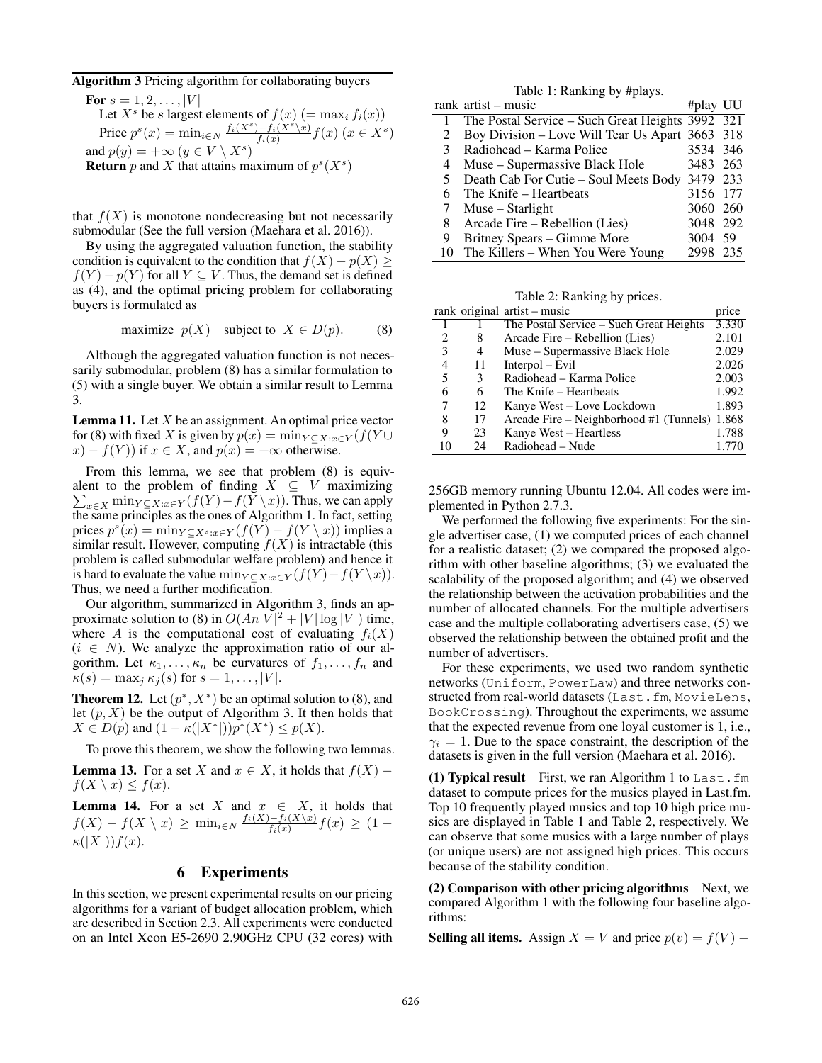#### Algorithm 3 Pricing algorithm for collaborating buyers

| <b>For</b> $s = 1, 2, ,  V $                                                                        |
|-----------------------------------------------------------------------------------------------------|
| Let $X^s$ be s largest elements of $f(x)$ (= max <sub>i</sub> $f_i(x)$ )                            |
| Price $p^{s}(x) = \min_{i \in N} \frac{f_i(X^s) - f_i(X^s \setminus x)}{f_i(x)} f(x)$ $(x \in X^s)$ |
| and $p(y) = +\infty$ $(y \in V \setminus X^s)$                                                      |
| <b>Return</b> p and X that attains maximum of $p^{s}(X^{s})$                                        |
|                                                                                                     |

that  $f(X)$  is monotone nondecreasing but not necessarily submodular (See the full version (Maehara et al. 2016)).

By using the aggregated valuation function, the stability condition is equivalent to the condition that  $f(X) - p(X) \ge$  $f(Y) - p(Y)$  for all  $Y \subseteq V$ . Thus, the demand set is defined as (4), and the optimal pricing problem for collaborating buyers is formulated as

maximize  $p(X)$  subject to  $X \in D(p)$ . (8)

Although the aggregated valuation function is not necessarily submodular, problem (8) has a similar formulation to (5) with a single buyer. We obtain a similar result to Lemma 3.

**Lemma 11.** Let  $X$  be an assignment. An optimal price vector for (8) with fixed X is given by  $p(x) = \min_{Y \subset X : x \in Y} (f(Y \cup$  $(x) - f(Y)$  if  $x \in X$ , and  $p(x) = +\infty$  otherwise.

From this lemma, we see that problem (8) is equivalent to the problem of finding  $\dot{X} \subseteq V$  maximizing  $\sum_{x \in X} \min_{Y \subseteq X: x \in Y} (f(Y) - f(Y \setminus x))$ . Thus, we can apply the same principles as the ones of Algorithm 1. In fact, setting the same principles as the ones of Algorithm 1. In fact, setting prices  $p^{s}(x) = \min_{Y \subseteq X^{s}: x \in Y} (f(Y) - f(Y \setminus x))$  implies a similar result. However, computing  $f(X)$  is intractable (this problem is called submodular welfare problem) and hence it is hard to evaluate the value min $_{Y \subseteq X: x \in Y}(f(Y) - f(Y \setminus x)).$ Thus, we need a further modification.

Our algorithm, summarized in Algorithm 3, finds an approximate solution to (8) in  $O(An|V|^2 + |V|\log|V|)$  time,<br>where A is the computational cost of evaluating  $f(x)$ where A is the computational cost of evaluating  $f_i(X)$  $(i \in N)$ . We analyze the approximation ratio of our algorithm. Let  $\kappa_1, \ldots, \kappa_n$  be curvatures of  $f_1, \ldots, f_n$  and  $\kappa(s) = \max_j \kappa_j(s)$  for  $s = 1, \ldots, |V|$ .

**Theorem 12.** Let  $(p^*, X^*)$  be an optimal solution to (8), and let  $(p, X)$  be the output of Algorithm 3. It then holds that  $X \in D(p)$  and  $(1 - \kappa(|X^*|))p^*(X^*) \leq p(X)$ .

To prove this theorem, we show the following two lemmas.

**Lemma 13.** For a set X and  $x \in X$ , it holds that  $f(X)$  –  $f(X \setminus x) \leq f(x)$ .

**Lemma 14.** For a set X and  $x \in X$ , it holds that  $f(X) - f(X \setminus x) \ge \min_{i \in N} \frac{f_i(X) - f_i(X \setminus x)}{f_i(x)} f(x) \ge (1 \kappa(|X|)$ f(x).

#### 6 Experiments

In this section, we present experimental results on our pricing algorithms for a variant of budget allocation problem, which are described in Section 2.3. All experiments were conducted on an Intel Xeon E5-2690 2.90GHz CPU (32 cores) with

| Table 1: Ranking by #plays. |                                                  |          |     |  |  |  |  |
|-----------------------------|--------------------------------------------------|----------|-----|--|--|--|--|
|                             | rank artist – music                              | #play UU |     |  |  |  |  |
|                             | The Postal Service – Such Great Heights 3992 321 |          |     |  |  |  |  |
| 2                           | Boy Division – Love Will Tear Us Apart 3663 318  |          |     |  |  |  |  |
| 3                           | Radiohead – Karma Police                         | 3534 346 |     |  |  |  |  |
| 4                           | Muse - Supermassive Black Hole                   | 3483 263 |     |  |  |  |  |
| 5.                          | Death Cab For Cutie - Soul Meets Body 3479 233   |          |     |  |  |  |  |
| 6                           | The Knife – Heartbeats                           | 3156 177 |     |  |  |  |  |
| 7                           | Muse – Starlight                                 | 3060 260 |     |  |  |  |  |
| 8                           | Arcade Fire – Rebellion (Lies)                   | 3048 292 |     |  |  |  |  |
| 9                           | Britney Spears - Gimme More                      | 3004 59  |     |  |  |  |  |
|                             | The Killers – When You Were Young                | 2998     | 235 |  |  |  |  |

Table 2: Ranking by prices.

|                             |    | rank original artist - music                  | price |
|-----------------------------|----|-----------------------------------------------|-------|
|                             |    | The Postal Service – Such Great Heights       | 3.330 |
| $\mathcal{D}_{\mathcal{L}}$ | 8  | Arcade Fire – Rebellion (Lies)                | 2.101 |
| 3                           | 4  | Muse – Supermassive Black Hole                | 2.029 |
| 4                           | 11 | $Interpol-Evil$                               | 2.026 |
| 5                           | 3  | Radiohead - Karma Police                      | 2.003 |
| 6                           | 6  | The Knife – Heartbeats                        | 1.992 |
| 7                           | 12 | Kanye West - Love Lockdown                    | 1.893 |
| 8                           | 17 | Arcade Fire – Neighborhood #1 (Tunnels) 1.868 |       |
| 9                           | 23 | Kanye West – Heartless                        | 1.788 |
|                             | 24 | Radiohead – Nude                              | 1.770 |

256GB memory running Ubuntu 12.04. All codes were implemented in Python 2.7.3.

We performed the following five experiments: For the single advertiser case, (1) we computed prices of each channel for a realistic dataset; (2) we compared the proposed algorithm with other baseline algorithms; (3) we evaluated the scalability of the proposed algorithm; and (4) we observed the relationship between the activation probabilities and the number of allocated channels. For the multiple advertisers case and the multiple collaborating advertisers case, (5) we observed the relationship between the obtained profit and the number of advertisers.

For these experiments, we used two random synthetic networks (Uniform, PowerLaw) and three networks constructed from real-world datasets (Last.fm, MovieLens, BookCrossing). Throughout the experiments, we assume that the expected revenue from one loyal customer is 1, i.e.,  $\gamma_i = 1$ . Due to the space constraint, the description of the datasets is given in the full version (Maehara et al. 2016).

(1) Typical result First, we ran Algorithm 1 to Last.fm dataset to compute prices for the musics played in Last.fm. Top 10 frequently played musics and top 10 high price musics are displayed in Table 1 and Table 2, respectively. We can observe that some musics with a large number of plays (or unique users) are not assigned high prices. This occurs because of the stability condition.

 $(2)$  Comparison with other pricing algorithms Next, we compared Algorithm 1 with the following four baseline algorithms:

**Selling all items.** Assign  $X = V$  and price  $p(v) = f(V)$  –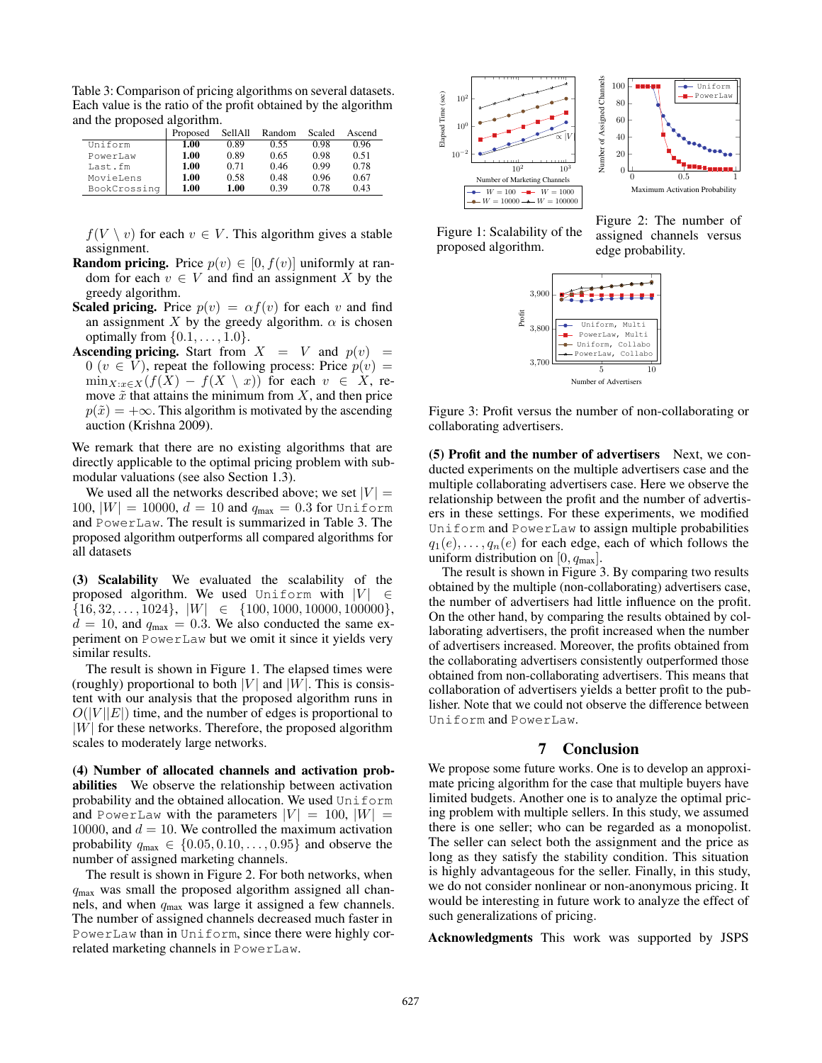Table 3: Comparison of pricing algorithms on several datasets. Each value is the ratio of the profit obtained by the algorithm and the proposed algorithm.

|              | Proposed | SellAll | Random | Scaled | Ascend |
|--------------|----------|---------|--------|--------|--------|
| Uniform      | 1.00     | 0.89    | 0.55   | 0.98   | 0.96   |
| PowerLaw     | 1.00     | 0.89    | 0.65   | 0.98   | 0.51   |
| Last.fm      | 1.00     | 0.71    | 0.46   | 0.99   | 0.78   |
| MovieLens    | 1.00     | 0.58    | 0.48   | 0.96   | 0.67   |
| BookCrossing | 1.00     | 1.00    | 0.39   | 0.78   | 0.43   |

 $f(V \setminus v)$  for each  $v \in V$ . This algorithm gives a stable assignment.

- **Random pricing.** Price  $p(v) \in [0, f(v)]$  uniformly at random for each  $v \in V$  and find an assignment X by the greedy algorithm.
- **Scaled pricing.** Price  $p(v) = \alpha f(v)$  for each v and find an assignment X by the greedy algorithm.  $\alpha$  is chosen optimally from  $\{0.1,\ldots,1.0\}$ .
- **Ascending pricing.** Start from  $X = V$  and  $p(v) =$ 0 ( $v \in V$ ), repeat the following process: Price  $p(v) =$  $\min_{X: x \in X} (f(X) - f(X \setminus x))$  for each  $v \in X$ , remove  $\tilde{x}$  that attains the minimum from X, and then price  $p(\tilde{x})=+\infty$ . This algorithm is motivated by the ascending auction (Krishna 2009).

We remark that there are no existing algorithms that are directly applicable to the optimal pricing problem with submodular valuations (see also Section 1.3).

We used all the networks described above; we set  $|V| =$ 100,  $|W| = 10000$ ,  $d = 10$  and  $q_{\text{max}} = 0.3$  for Uniform and PowerLaw. The result is summarized in Table 3. The proposed algorithm outperforms all compared algorithms for all datasets

(3) Scalability We evaluated the scalability of the proposed algorithm. We used Uniform with  $|V| \in$  $\{16, 32, \ldots, 1024\}, |W| \in \{100, 1000, 10000, 100000\},\$  $d = 10$ , and  $q_{\text{max}} = 0.3$ . We also conducted the same experiment on PowerLaw but we omit it since it yields very similar results.

The result is shown in Figure 1. The elapsed times were (roughly) proportional to both |V| and |W|. This is consistent with our analysis that the proposed algorithm runs in  $O(|V||E|)$  time, and the number of edges is proportional to  $|W|$  for these networks. Therefore, the proposed algorithm scales to moderately large networks.

(4) Number of allocated channels and activation probabilities We observe the relationship between activation probability and the obtained allocation. We used Uniform and PowerLaw with the parameters  $|V| = 100$ ,  $|W| =$ 10000, and  $d = 10$ . We controlled the maximum activation probability  $q_{\text{max}} \in \{0.05, 0.10, \ldots, 0.95\}$  and observe the number of assigned marketing channels.

The result is shown in Figure 2. For both networks, when  $q<sub>max</sub>$  was small the proposed algorithm assigned all channels, and when  $q_{\text{max}}$  was large it assigned a few channels. The number of assigned channels decreased much faster in PowerLaw than in Uniform, since there were highly correlated marketing channels in PowerLaw.





Figure 1: Scalability of the proposed algorithm.

Figure 2: The number of assigned channels versus edge probability.



Figure 3: Profit versus the number of non-collaborating or collaborating advertisers.

(5) Profit and the number of advertisers Next, we conducted experiments on the multiple advertisers case and the multiple collaborating advertisers case. Here we observe the relationship between the profit and the number of advertisers in these settings. For these experiments, we modified Uniform and PowerLaw to assign multiple probabilities  $q_1(e), \ldots, q_n(e)$  for each edge, each of which follows the uniform distribution on  $[0, q_{max}]$ .

The result is shown in Figure 3. By comparing two results obtained by the multiple (non-collaborating) advertisers case, the number of advertisers had little influence on the profit. On the other hand, by comparing the results obtained by collaborating advertisers, the profit increased when the number of advertisers increased. Moreover, the profits obtained from the collaborating advertisers consistently outperformed those obtained from non-collaborating advertisers. This means that collaboration of advertisers yields a better profit to the publisher. Note that we could not observe the difference between Uniform and PowerLaw.

# 7 Conclusion

We propose some future works. One is to develop an approximate pricing algorithm for the case that multiple buyers have limited budgets. Another one is to analyze the optimal pricing problem with multiple sellers. In this study, we assumed there is one seller; who can be regarded as a monopolist. The seller can select both the assignment and the price as long as they satisfy the stability condition. This situation is highly advantageous for the seller. Finally, in this study, we do not consider nonlinear or non-anonymous pricing. It would be interesting in future work to analyze the effect of such generalizations of pricing.

Acknowledgments This work was supported by JSPS